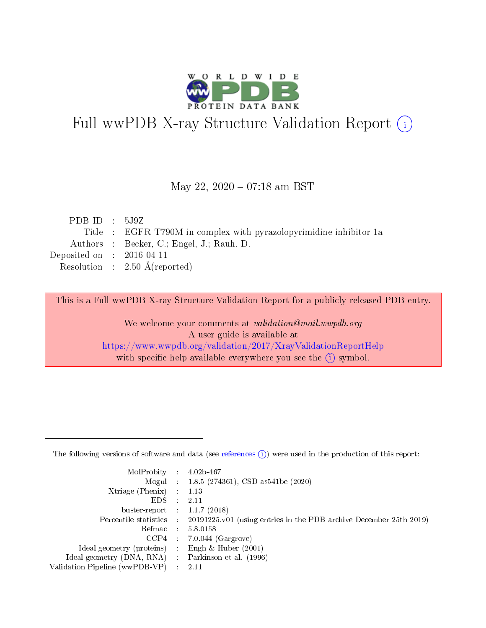

# Full wwPDB X-ray Structure Validation Report (i)

#### May 22, 2020 - 07:18 am BST

| PDB ID : $5J9Z$             |                                                                    |
|-----------------------------|--------------------------------------------------------------------|
|                             | Title : EGFR-T790M in complex with pyrazolopyrimidine inhibitor 1a |
|                             | Authors : Becker, C.; Engel, J.; Rauh, D.                          |
| Deposited on : $2016-04-11$ |                                                                    |
|                             | Resolution : $2.50 \text{ Å}$ (reported)                           |

This is a Full wwPDB X-ray Structure Validation Report for a publicly released PDB entry.

We welcome your comments at validation@mail.wwpdb.org A user guide is available at <https://www.wwpdb.org/validation/2017/XrayValidationReportHelp> with specific help available everywhere you see the  $(i)$  symbol.

The following versions of software and data (see [references](https://www.wwpdb.org/validation/2017/XrayValidationReportHelp#references)  $(1)$ ) were used in the production of this report:

| MolProbity :                   |               | $4.02b - 467$                                                               |
|--------------------------------|---------------|-----------------------------------------------------------------------------|
|                                |               | Mogul : $1.8.5$ (274361), CSD as 541be (2020)                               |
| $X$ triage (Phenix) :          |               | 1.13                                                                        |
| EDS.                           |               | 2.11                                                                        |
| buster-report : $1.1.7$ (2018) |               |                                                                             |
| Percentile statistics :        |               | $20191225 \text{v}01$ (using entries in the PDB archive December 25th 2019) |
| Refmac :                       |               | 5.8.0158                                                                    |
| $CCP4$ :                       |               | $7.0.044$ (Gargrove)                                                        |
| Ideal geometry (proteins) :    |               | Engh $\&$ Huber (2001)                                                      |
| Ideal geometry (DNA, RNA) :    |               | Parkinson et al. (1996)                                                     |
| Validation Pipeline (wwPDB-VP) | $\mathcal{L}$ | 2.11                                                                        |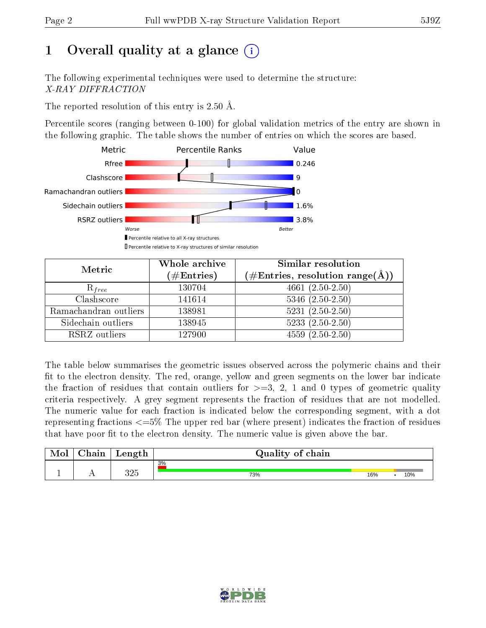# 1 [O](https://www.wwpdb.org/validation/2017/XrayValidationReportHelp#overall_quality)verall quality at a glance  $(i)$

The following experimental techniques were used to determine the structure: X-RAY DIFFRACTION

The reported resolution of this entry is  $2.50 \text{ Å}.$ 

Percentile scores (ranging between 0-100) for global validation metrics of the entry are shown in the following graphic. The table shows the number of entries on which the scores are based.



| Metric                | Whole archive<br>$(\#\mathrm{Entries})$ | Similar resolution<br>$(\#\text{Entries},\,\text{resolution}\,\,\text{range}(\textup{\AA}))$ |
|-----------------------|-----------------------------------------|----------------------------------------------------------------------------------------------|
| $R_{free}$            | 130704                                  | $4661 (2.50 - 2.50)$                                                                         |
| Clashscore            | 141614                                  | $5346$ $(2.50-2.50)$                                                                         |
| Ramachandran outliers | 138981                                  | $5231 (2.50 - 2.50)$                                                                         |
| Sidechain outliers    | 138945                                  | $5233(2.50-2.50)$                                                                            |
| RSRZ outliers         | 127900                                  | $4559(2.50-2.50)$                                                                            |

The table below summarises the geometric issues observed across the polymeric chains and their fit to the electron density. The red, orange, yellow and green segments on the lower bar indicate the fraction of residues that contain outliers for  $>=3, 2, 1$  and 0 types of geometric quality criteria respectively. A grey segment represents the fraction of residues that are not modelled. The numeric value for each fraction is indicated below the corresponding segment, with a dot representing fractions  $\epsilon=5\%$  The upper red bar (where present) indicates the fraction of residues that have poor fit to the electron density. The numeric value is given above the bar.

| Mol | $\cap$ hain | Length     | Quality of chain |     |     |
|-----|-------------|------------|------------------|-----|-----|
|     |             |            | 3%               |     |     |
|     |             | つつに<br>∪∠∪ | 73%              | 16% | 10% |

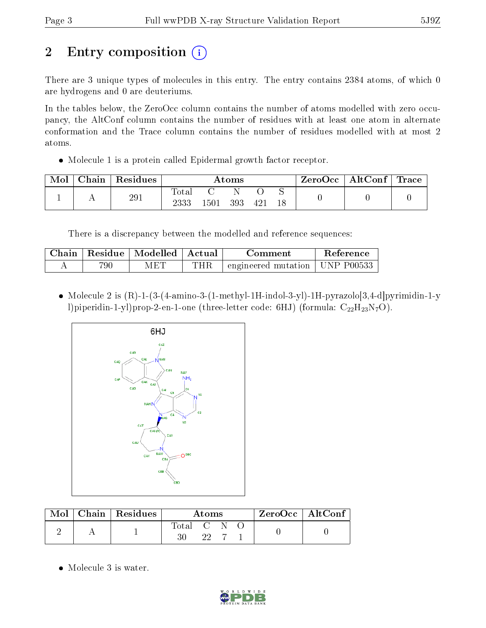# 2 Entry composition  $\left( \cdot \right)$

There are 3 unique types of molecules in this entry. The entry contains 2384 atoms, of which 0 are hydrogens and 0 are deuteriums.

In the tables below, the ZeroOcc column contains the number of atoms modelled with zero occupancy, the AltConf column contains the number of residues with at least one atom in alternate conformation and the Trace column contains the number of residues modelled with at most 2 atoms.

Molecule 1 is a protein called Epidermal growth factor receptor.

| Mol | Chain | Residues | $\rm{Atoms}$  |      |     |              |  | ZeroOcc | $\mid \text{AltConf} \mid \text{Trace} \mid$ |  |
|-----|-------|----------|---------------|------|-----|--------------|--|---------|----------------------------------------------|--|
|     |       | 291      | Fotal<br>2333 | 1501 | 393 | $42^{\circ}$ |  |         |                                              |  |

There is a discrepancy between the modelled and reference sequences:

| Chain |     | Residue   Modelled   Actual |     | Comment                                            | Reference |
|-------|-----|-----------------------------|-----|----------------------------------------------------|-----------|
|       | 790 | МE                          | THR | $\degree$ engineered mutation $\degree$ UNP P00533 |           |

 Molecule 2 is (R)-1-(3-(4-amino-3-(1-methyl-1H-indol-3-yl)-1H-pyrazolo[3,4-d]pyrimidin-1-y l)piperidin-1-yl)prop-2-en-1-one (three-letter code: 6HJ) (formula:  $C_{22}H_{23}N_7O$ ).



| Mol | $\vert$ Chain   Residues | Atoms       |  |  |  | $ZeroOcc \mid AltConf$ |
|-----|--------------------------|-------------|--|--|--|------------------------|
|     |                          | Total C N O |  |  |  |                        |
|     |                          |             |  |  |  |                        |

• Molecule 3 is water.

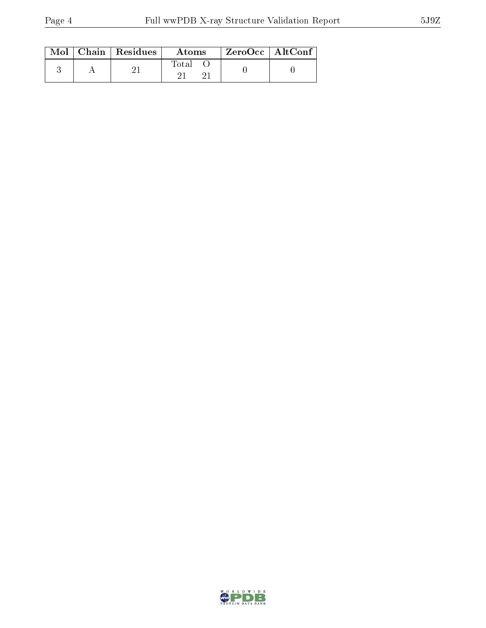|  | $\text{Mol}$   Chain   Residues | Atoms | $ZeroOcc \mid AltConf \mid$ |  |
|--|---------------------------------|-------|-----------------------------|--|
|  |                                 | Total |                             |  |

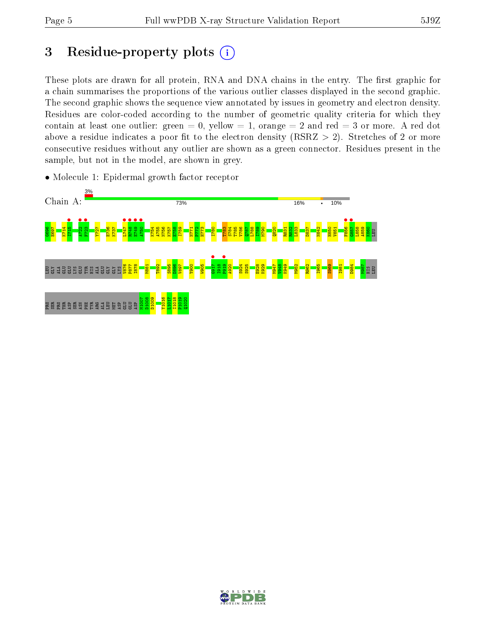## 3 Residue-property plots  $(i)$

These plots are drawn for all protein, RNA and DNA chains in the entry. The first graphic for a chain summarises the proportions of the various outlier classes displayed in the second graphic. The second graphic shows the sequence view annotated by issues in geometry and electron density. Residues are color-coded according to the number of geometric quality criteria for which they contain at least one outlier: green  $= 0$ , yellow  $= 1$ , orange  $= 2$  and red  $= 3$  or more. A red dot above a residue indicates a poor fit to the electron density (RSRZ  $> 2$ ). Stretches of 2 or more consecutive residues without any outlier are shown as a green connector. Residues present in the sample, but not in the model, are shown in grey.



• Molecule 1: Epidermal growth factor receptor

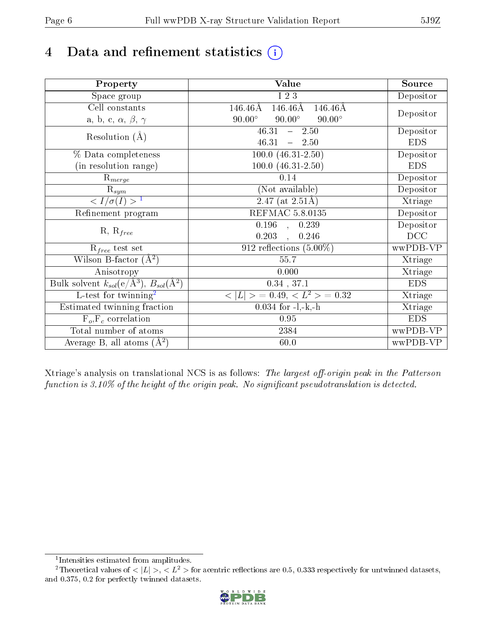# 4 Data and refinement statistics  $(i)$

| Property                                                             | Value                                                          | Source     |  |
|----------------------------------------------------------------------|----------------------------------------------------------------|------------|--|
| Space group                                                          | I 2 3                                                          | Depositor  |  |
| Cell constants                                                       | $146.46\text{\AA}$<br>$146.46\text{\AA}$<br>$146.46\text{\AA}$ |            |  |
| a, b, c, $\alpha$ , $\beta$ , $\gamma$                               | $90.00^\circ$<br>$90.00^\circ$<br>$90.00^\circ$                | Depositor  |  |
| Resolution $(A)$                                                     | 46.31<br>$-2.50$                                               | Depositor  |  |
|                                                                      | 46.31<br>$-2.50$                                               | <b>EDS</b> |  |
| % Data completeness                                                  | $100.0 (46.31 - 2.50)$                                         | Depositor  |  |
| (in resolution range)                                                | $100.0 (46.31 - 2.50)$                                         | <b>EDS</b> |  |
| $R_{merge}$                                                          | 0.14                                                           | Depositor  |  |
| $\mathrm{R}_{sym}$                                                   | (Not available)                                                | Depositor  |  |
| $\langle I/\sigma(I) \rangle$ <sup>1</sup>                           | $\overline{2.47}$ (at 2.51Å)                                   | Xtriage    |  |
| Refinement program                                                   | <b>REFMAC 5.8.0135</b>                                         | Depositor  |  |
|                                                                      | $\overline{0.196}$ ,<br>0.239                                  | Depositor  |  |
| $R, R_{free}$                                                        | 0.203<br>0.246<br>$\mathbb{R}^2$                               | DCC        |  |
| $\mathcal{R}_{free}$ test set                                        | 912 reflections $(5.00\%)$                                     | wwPDB-VP   |  |
| Wilson B-factor $(A^2)$                                              | 55.7                                                           | Xtriage    |  |
| Anisotropy                                                           | 0.000                                                          | Xtriage    |  |
| Bulk solvent $k_{sol}(e/\mathring{A}^3)$ , $B_{sol}(\mathring{A}^2)$ | $0.34$ , 37.1                                                  | <b>EDS</b> |  |
| L-test for twinning <sup>2</sup>                                     | $< L >$ = 0.49, $< L2$ > = 0.32                                | Xtriage    |  |
| Estimated twinning fraction                                          | $0.034$ for $-l,-k,-h$                                         | Xtriage    |  |
| $F_o, F_c$ correlation                                               | 0.95                                                           | <b>EDS</b> |  |
| Total number of atoms                                                | 2384                                                           | wwPDB-VP   |  |
| Average B, all atoms $(A^2)$                                         | 60.0                                                           | wwPDB-VP   |  |

Xtriage's analysis on translational NCS is as follows: The largest off-origin peak in the Patterson function is  $3.10\%$  of the height of the origin peak. No significant pseudotranslation is detected.

<sup>&</sup>lt;sup>2</sup>Theoretical values of  $\langle |L| \rangle$ ,  $\langle L^2 \rangle$  for acentric reflections are 0.5, 0.333 respectively for untwinned datasets, and 0.375, 0.2 for perfectly twinned datasets.



<span id="page-5-1"></span><span id="page-5-0"></span><sup>1</sup> Intensities estimated from amplitudes.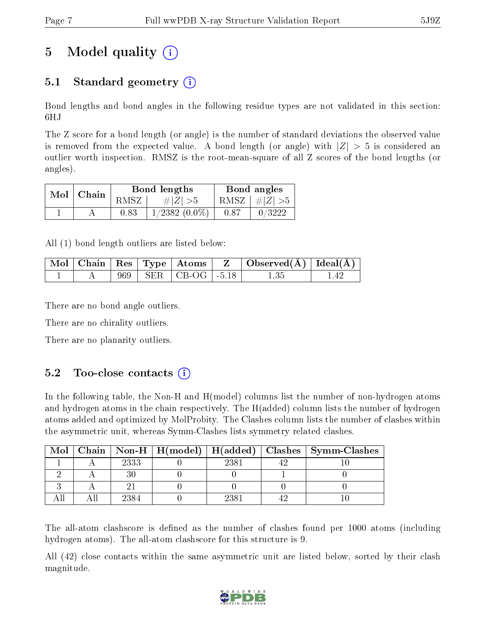# 5 Model quality  $(i)$

## 5.1 Standard geometry  $(i)$

Bond lengths and bond angles in the following residue types are not validated in this section: 6HJ

The Z score for a bond length (or angle) is the number of standard deviations the observed value is removed from the expected value. A bond length (or angle) with  $|Z| > 5$  is considered an outlier worth inspection. RMSZ is the root-mean-square of all Z scores of the bond lengths (or angles).

| $Mol$   Chain |      | Bond lengths       | Bond angles |                 |  |
|---------------|------|--------------------|-------------|-----------------|--|
|               | RMSZ | $\# Z  > 5$        |             | RMSZ $ #Z  > 5$ |  |
|               | 0.83 | $1/2382$ $(0.0\%)$ | 0.87        | 0/3222          |  |

All (1) bond length outliers are listed below:

|  |  |                             | $\mid$ Mol $\mid$ Chain $\mid$ Res $\mid$ Type $\mid$ Atoms $\mid$ $\mid$ Z $\mid$ Observed(Å) $\mid$ Ideal(Å) $\mid$ |  |
|--|--|-----------------------------|-----------------------------------------------------------------------------------------------------------------------|--|
|  |  | $969$   SER   CB-OG   -5.18 |                                                                                                                       |  |

There are no bond angle outliers.

There are no chirality outliers.

There are no planarity outliers.

### $5.2$  Too-close contacts  $(i)$

In the following table, the Non-H and H(model) columns list the number of non-hydrogen atoms and hydrogen atoms in the chain respectively. The H(added) column lists the number of hydrogen atoms added and optimized by MolProbity. The Clashes column lists the number of clashes within the asymmetric unit, whereas Symm-Clashes lists symmetry related clashes.

| Mol |      |      | Chain   Non-H   H(model)   H(added)   Clashes   Symm-Clashes |
|-----|------|------|--------------------------------------------------------------|
|     | 2333 | 2381 |                                                              |
|     |      |      |                                                              |
|     |      |      |                                                              |
|     | 2384 | 238. |                                                              |

The all-atom clashscore is defined as the number of clashes found per 1000 atoms (including hydrogen atoms). The all-atom clashscore for this structure is 9.

All (42) close contacts within the same asymmetric unit are listed below, sorted by their clash magnitude.

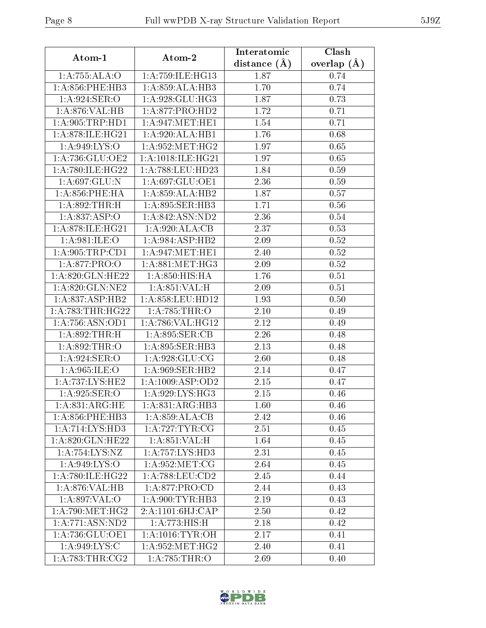| Atom-1                            | Atom-2                       | Interatomic       | Clash         |  |
|-----------------------------------|------------------------------|-------------------|---------------|--|
|                                   |                              | distance $(A)$    | overlap $(A)$ |  |
| 1:A:755:ALA:O                     | 1: A: 759: ILE: HG13         | 1.87              | 0.74          |  |
| $1: A:856:$ PHE:HB3               | 1:A:859:ALA:HB3              | 1.70              | 0.74          |  |
| $1:A:924:\overline{\text{SER:O}}$ | 1: A:928: GLU: HG3           | 1.87              | 0.73          |  |
| 1:A:876:VAL:HB                    | 1:A:877:PRO:HD2              | 1.72              | 0.71          |  |
| 1: A:905:TRP:HD1                  | 1: A:947: MET:HE1            | 1.54              | 0.71          |  |
| 1:A:878:ILE:HG21                  | 1:A:920:ALA:HB1              | 1.76              | 0.68          |  |
| 1: A:949: LYS: O                  | 1: A:952:MET:HG2             | 1.97              | 0.65          |  |
| 1:A:736:GLU:OE2                   | 1:A:1018:ILE:HG21            | 1.97              | 0.65          |  |
| 1: A:780: ILE: HG22               | 1:A:788:LEU:HD23             | 1.84              | 0.59          |  |
| 1:A:697:GLU:N                     | 1:A:697:GLU:OE1              | 2.36              | 0.59          |  |
| $1: A:856:$ PHE:HA                | 1:A:859:ALA:HB2              | 1.87              | 0.57          |  |
| 1:A:892:THR:H                     | 1:A:895:SER:HB3              | 1.71              | 0.56          |  |
| 1:A:837:ASP:O                     | 1:A:842:ASN:ND2              | 2.36              | 0.54          |  |
| 1: A:878: ILE: HG21               | 1: A:920:ALA:CB              | 2.37              | 0.53          |  |
| 1: A:981: ILE: O                  | 1:A:984:ASP:HB2              | 2.09              | 0.52          |  |
| 1: A:905:TRP:CD1                  | 1: A:947: MET:HE1            | 2.40              | 0.52          |  |
| 1: A:877: PRO:O                   | 1: A:881: MET:HG3            | 2.09              | 0.52          |  |
| 1:A:820:GLN:HE22                  | $1: A:850:HIS:\overline{HA}$ | 1.76              | 0.51          |  |
| 1:A:820:GLN:NE2                   | 1: A:851:VAL: H              | 2.09              | 0.51          |  |
| 1: A:837: ASP:HB2                 | $1:$ A:858:LEU:HD12          | 1.93              | 0.50          |  |
| 1: A:783:THR:HG22                 | 1:A:785:THR:O                | 2.10              | 0.49          |  |
| 1: A:756: ASN:OD1                 | 1:A:786:VAL:HG12             | 2.12              | 0.49          |  |
| 1:A:892:THR:H                     | 1:A:895:SER:CB               | $\overline{2.26}$ | 0.48          |  |
| 1: A:892:THR:O                    | 1:A:895:SER:HB3              | 2.13              | 0.48          |  |
| 1: A:924: SER:O                   | 1: A:928: GLU:CG             | 2.60              | 0.48          |  |
| 1: A:965: ILE: O                  | 1: A:969: SER: HB2           | 2.14              | 0.47          |  |
| 1:A:737:LYS:HE2                   | 1:A:1009:ASP:OD2             | 2.15              | 0.47          |  |
| 1:A:925:SER:O                     | 1:A:929:LYS:HG3              | 2.15              | 0.46          |  |
| 1:A:831:ARG:HE                    | 1:A:831:ARG:HB3              | 1.60              | 0.46          |  |
| $1: A:856:$ PHE:HB3               | 1: A:859:ALA:CB              | 2.42              | 0.46          |  |
| 1:A:714:LYS:HD3                   | 1: A:727: TYR: CG            | 2.51              | 0.45          |  |
| 1:A:820:GLN:HE22                  | 1: A:851:VAL: H              | 1.64              | $0.45\,$      |  |
| 1:A:754:LYS:NZ                    | 1:A:757:LYS:HD3              | 2.31              | 0.45          |  |
| 1: A:949: LYS:O                   | 1: A:952:MET:CG              | 2.64              | 0.45          |  |
| 1: A:780: ILE: HG22               | 1: A:788:LEU:CD2             | 2.45              | 0.44          |  |
| 1:A:876:VAL:HB                    | 1:A:877:PRO:CD               | 2.44              | 0.43          |  |
| 1:A:897:VAL:O                     | 1: A:900: TYR: HB3           | 2.19              | 0.43          |  |
| 1: A:790:MET:HG2                  | 2:A:1101:6HJ:CAP             | 2.50              | 0.42          |  |
| 1: A:771: ASN:ND2                 | $1:A:773:HIS:\overline{H}$   | 2.18              | 0.42          |  |
| 1: A:736: GLU:OE1                 | 1: A:1016:TYR:OH             | 2.17              | 0.41          |  |
| 1:A:949:LYS:C                     | 1: A:952:MET:HG2             | 2.40              | 0.41          |  |
| 1:A:783:THR:CG2                   | 1:A:785:THR:O                | 2.69              | 0.40          |  |

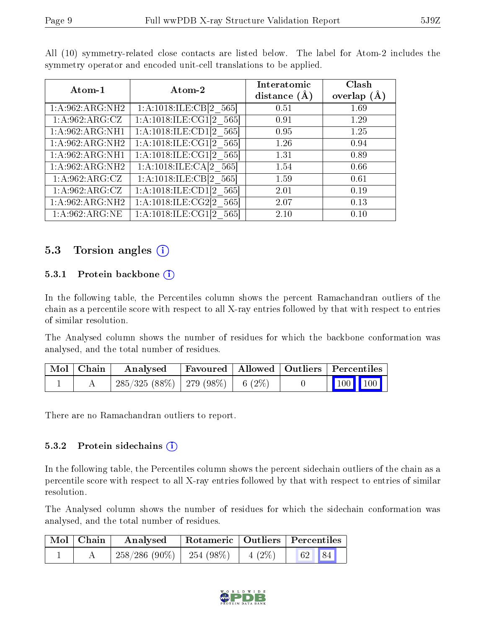| etry operator and encoded unit-cell translations to be applied. |                        |                                 |                    |  |  |  |  |  |
|-----------------------------------------------------------------|------------------------|---------------------------------|--------------------|--|--|--|--|--|
| $\boldsymbol{\mathrm{Atom}\text{-}1}$                           | Atom-2                 | Interatomic<br>distance $(\AA)$ | Clash<br>overlap ( |  |  |  |  |  |
| $62$ :ARG:NH2                                                   | 1:A:1018:ILE:CB[2 565] | 0.51                            | 1.69               |  |  |  |  |  |

| Atom-1            | Atom-2                               | distance $(A)$ | overlap $(A)$ |
|-------------------|--------------------------------------|----------------|---------------|
| 1:A:962:ARG:NH2   | 1:A:1018:ILE:CB[2 $\overline{565}$ ] | 0.51           | 1.69          |
| 1: A:962: ARG: CZ | $1:A:1018:ILE:CG1[2_565]$            | 0.91           | 1.29          |
| 1:A:962:ARG:NH1   | 1:A:1018:ILE:CD1[2 565]              | 0.95           | 1.25          |
| 1:A:962:ARG:NH2   | 1:A:1018:ILE:CG1[2 565]              | 1.26           | 0.94          |
| 1:A:962:ARG:NH1   | 1:A:1018:ILE:CG1[2 565]              | 1.31           | 0.89          |
| 1:A:962:ARG:NH2   | 1:A:1018:ILE:CA[2 565]               | 1.54           | 0.66          |
| 1: A:962: ARG: CZ | 1:A:1018:ILE:CB[2 565]               | 1.59           | 0.61          |
| 1: A:962: ARG: CZ | 1:A:1018:ILE:CD1[2 565]              | 2.01           | 0.19          |
| 1:A:962:ARG:NH2   | 1:A:1018:ILE:CG2[2 565]              | 2.07           | 0.13          |
| 1: A:962: ARG: NE | $1:\!A:\!1018:\!ILE:\!CG1[2]$<br>565 | 2.10           | 0.10          |

All (10) symmetry-related close contacts are listed below. The label for Atom-2 includes the symmetry operator and encode

### 5.3 Torsion angles  $(i)$

#### 5.3.1 Protein backbone  $(i)$

In the following table, the Percentiles column shows the percent Ramachandran outliers of the chain as a percentile score with respect to all X-ray entries followed by that with respect to entries of similar resolution.

The Analysed column shows the number of residues for which the backbone conformation was analysed, and the total number of residues.

| Mol   Chain | $\boldsymbol{\mathrm{Analysed}}$       | Favoured   Allowed   Outliers   Percentiles |  |                 |  |
|-------------|----------------------------------------|---------------------------------------------|--|-----------------|--|
|             | $285/325(88\%)$   279 (98\%)   6 (2\%) |                                             |  | $\vert$ 100 100 |  |

There are no Ramachandran outliers to report.

#### 5.3.2 Protein sidechains  $(i)$

In the following table, the Percentiles column shows the percent sidechain outliers of the chain as a percentile score with respect to all X-ray entries followed by that with respect to entries of similar resolution.

The Analysed column shows the number of residues for which the sidechain conformation was analysed, and the total number of residues.

| $\mid$ Mol $\mid$ Chain $\mid$ | Rotameric   Outliers   Percentiles<br>Analysed |  |  |  |
|--------------------------------|------------------------------------------------|--|--|--|
|                                | $258/286$ (90\%)   254 (98\%)   4 (2\%)        |  |  |  |

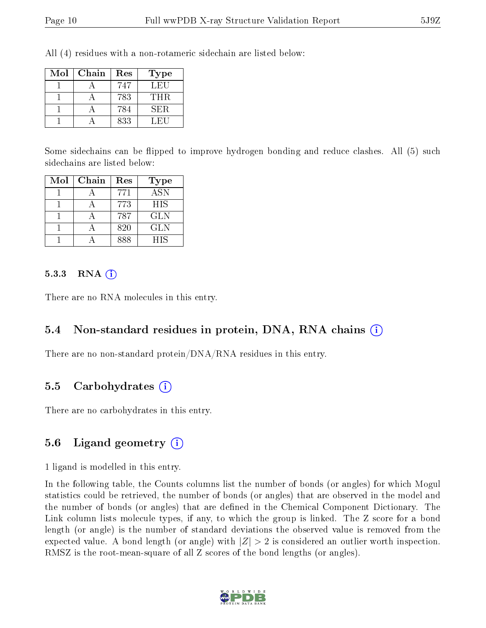All (4) residues with a non-rotameric sidechain are listed below:

| $\operatorname{Mol}$ | Chain | Res | <b>Type</b> |
|----------------------|-------|-----|-------------|
|                      |       | 747 | LEU         |
|                      |       | 783 | THR.        |
|                      |       | 784 | SER.        |
|                      |       | 833 | LEI         |

Some sidechains can be flipped to improve hydrogen bonding and reduce clashes. All (5) such sidechains are listed below:

| Mol | Chain | Res | Type             |
|-----|-------|-----|------------------|
|     |       | 771 | $\overline{ASN}$ |
|     |       | 773 | <b>HIS</b>       |
|     |       | 787 | GLN              |
|     |       | 820 | <b>GLN</b>       |
|     |       | 888 | <b>HIS</b>       |

#### 5.3.3 RNA (1)

There are no RNA molecules in this entry.

#### 5.4 Non-standard residues in protein, DNA, RNA chains (i)

There are no non-standard protein/DNA/RNA residues in this entry.

#### 5.5 Carbohydrates (i)

There are no carbohydrates in this entry.

#### 5.6 Ligand geometry (i)

1 ligand is modelled in this entry.

In the following table, the Counts columns list the number of bonds (or angles) for which Mogul statistics could be retrieved, the number of bonds (or angles) that are observed in the model and the number of bonds (or angles) that are dened in the Chemical Component Dictionary. The Link column lists molecule types, if any, to which the group is linked. The Z score for a bond length (or angle) is the number of standard deviations the observed value is removed from the expected value. A bond length (or angle) with  $|Z| > 2$  is considered an outlier worth inspection. RMSZ is the root-mean-square of all Z scores of the bond lengths (or angles).

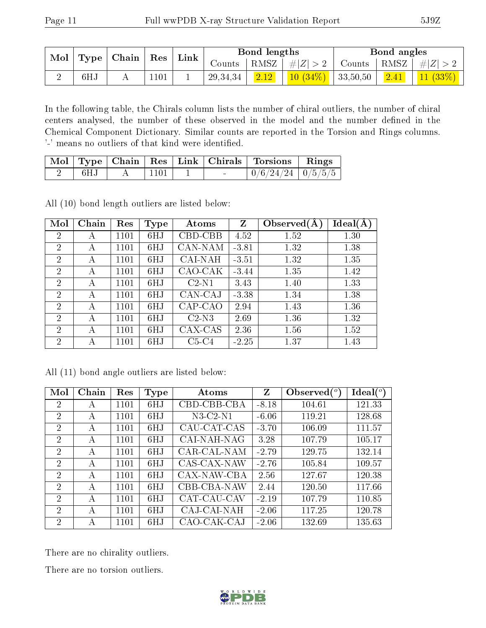|     | $\textbf{Mol} \mid \textbf{Type} \mid \textbf{Chain}$ | $\mathbf{Res}$ | $\lq$ Link |          | Bond lengths   |                                           | Bond angles |                                                                                    |
|-----|-------------------------------------------------------|----------------|------------|----------|----------------|-------------------------------------------|-------------|------------------------------------------------------------------------------------|
|     |                                                       |                |            | Counts   |                |                                           |             | $\mid$ RMSZ $\mid$ $\# Z  > 2$ $\mid$ Counts $\mid$ RMSZ $\mid$ $\# Z  > 2$ $\mid$ |
| 6HJ |                                                       | 1101           |            | 29,34,34 | $\boxed{2.12}$ | $\left  \frac{10}{34\%} \right $ 33,50,50 |             | $\vert$ 2.41   11 (33%)                                                            |

In the following table, the Chirals column lists the number of chiral outliers, the number of chiral centers analysed, the number of these observed in the model and the number defined in the Chemical Component Dictionary. Similar counts are reported in the Torsion and Rings columns. '-' means no outliers of that kind were identified.

|     |      |        | Mol   Type   Chain   Res   Link   Chirals   Torsions   Rings |  |
|-----|------|--------|--------------------------------------------------------------|--|
| 6HJ | 1101 | $\sim$ | $\boxed{0/6/24/24}$ $\boxed{0/5/5/5}$                        |  |

All (10) bond length outliers are listed below:

| Mol            | Chain | Res  | <b>Type</b> | Atoms   | Z       | Observed $(A)$ | Ideal(A) |
|----------------|-------|------|-------------|---------|---------|----------------|----------|
| $\overline{2}$ | А     | 1101 | 6HJ         | CBD-CBB | 4.52    | 1.52           | 1.30     |
| $\overline{2}$ | А     | 1101 | 6HJ         | CAN-NAM | $-3.81$ | 1.32           | 1.38     |
| $\overline{2}$ | А     | 1101 | 6HJ         | CAI-NAH | $-3.51$ | 1.32           | 1.35     |
| 2              | А     | 1101 | 6HJ         | CAO-CAK | $-3.44$ | 1.35           | 1.42     |
| $\overline{2}$ | А     | 1101 | 6HJ         | $C2-N1$ | 3.43    | 1.40           | 1.33     |
| $\overline{2}$ | А     | 1101 | 6HJ         | CAN-CAJ | $-3.38$ | 1.34           | 1.38     |
| $\overline{2}$ | А     | 1101 | 6HJ         | CAP-CAO | 2.94    | 1.43           | 1.36     |
| $\overline{2}$ | А     | 1101 | 6HJ         | $C2-N3$ | 2.69    | 1.36           | 1.32     |
| $\overline{2}$ | А     | 1101 | 6HJ         | CAX-CAS | 2.36    | 1.56           | 1.52     |
| $\overline{2}$ | А     | 1101 | 6HJ         | $C5-C4$ | $-2.25$ | 1.37           | 1.43     |

All (11) bond angle outliers are listed below:

| Mol            | Chain | Res  | Type | Atoms       | Z       | Observed $(°)$ | Ideal(°) |
|----------------|-------|------|------|-------------|---------|----------------|----------|
| $\overline{2}$ | А     | 1101 | 6HJ  | CBD-CBB-CBA | $-8.18$ | 104.61         | 121.33   |
| $\overline{2}$ | А     | 1101 | 6HJ  | $N3-C2-N1$  | $-6.06$ | 119.21         | 128.68   |
| $\overline{2}$ | А     | 1101 | 6HJ  | CAU-CAT-CAS | $-3.70$ | 106.09         | 111.57   |
| $\overline{2}$ | А     | 1101 | 6HJ  | CAI-NAH-NAG | 3.28    | 107.79         | 105.17   |
| $\overline{2}$ | А     | 1101 | 6HJ  | CAR-CAL-NAM | $-2.79$ | 129.75         | 132.14   |
| 2              | A     | 1101 | 6HJ  | CAS-CAX-NAW | $-2.76$ | 105.84         | 109.57   |
| $\overline{2}$ | A     | 1101 | 6HJ  | CAX-NAW-CBA | 2.56    | 127.67         | 120.38   |
| $\overline{2}$ | А     | 1101 | 6HJ  | CBB-CBA-NAW | 2.44    | 120.50         | 117.66   |
| $\overline{2}$ | А     | 1101 | 6HJ  | CAT-CAU-CAV | $-2.19$ | 107.79         | 110.85   |
| $\overline{2}$ | А     | 1101 | 6HJ  | CAJ-CAI-NAH | $-2.06$ | 117.25         | 120.78   |
| $\overline{2}$ | А     | 1101 | 6HJ  | CAO-CAK-CAJ | $-2.06$ | 132.69         | 135.63   |

There are no chirality outliers.

There are no torsion outliers.

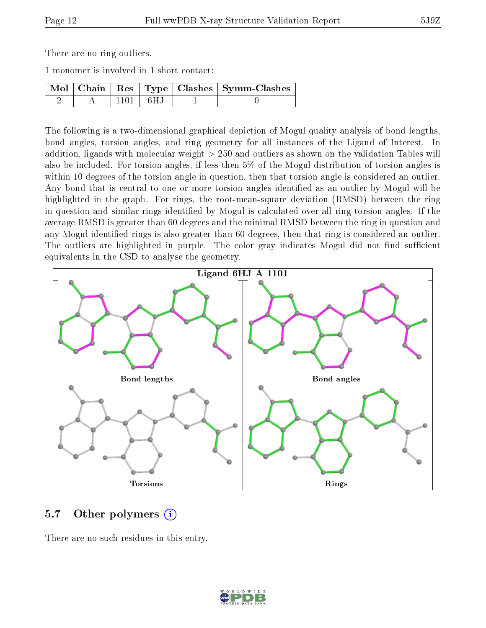There are no ring outliers.

1 monomer is involved in 1 short contact:

|  |            | Mol   Chain   Res   Type   Clashes   Symm-Clashes |
|--|------------|---------------------------------------------------|
|  | $1101$ 6HJ |                                                   |

The following is a two-dimensional graphical depiction of Mogul quality analysis of bond lengths, bond angles, torsion angles, and ring geometry for all instances of the Ligand of Interest. In addition, ligands with molecular weight > 250 and outliers as shown on the validation Tables will also be included. For torsion angles, if less then 5% of the Mogul distribution of torsion angles is within 10 degrees of the torsion angle in question, then that torsion angle is considered an outlier. Any bond that is central to one or more torsion angles identified as an outlier by Mogul will be highlighted in the graph. For rings, the root-mean-square deviation (RMSD) between the ring in question and similar rings identified by Mogul is calculated over all ring torsion angles. If the average RMSD is greater than 60 degrees and the minimal RMSD between the ring in question and any Mogul-identied rings is also greater than 60 degrees, then that ring is considered an outlier. The outliers are highlighted in purple. The color gray indicates Mogul did not find sufficient equivalents in the CSD to analyse the geometry.



### 5.7 [O](https://www.wwpdb.org/validation/2017/XrayValidationReportHelp#nonstandard_residues_and_ligands)ther polymers  $(i)$

There are no such residues in this entry.

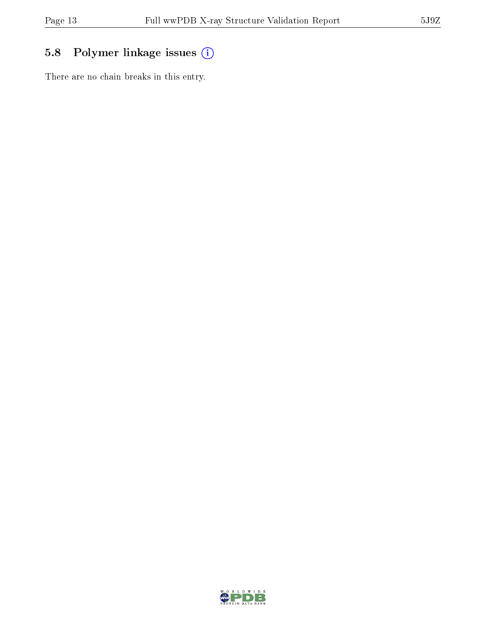## 5.8 Polymer linkage issues (i)

There are no chain breaks in this entry.

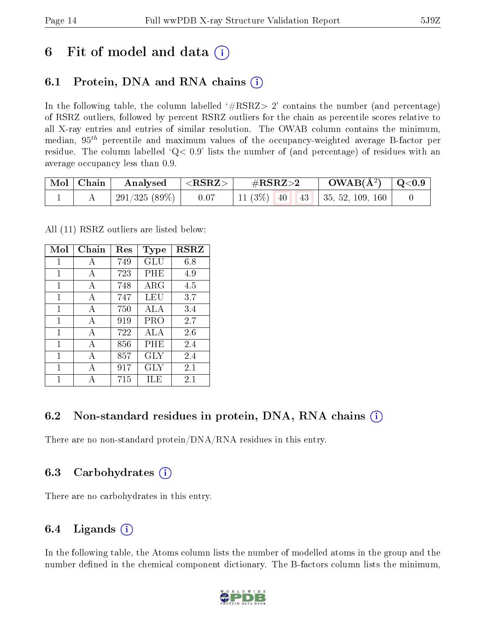## 6 Fit of model and data  $\left( \cdot \right)$

## 6.1 Protein, DNA and RNA chains (i)

In the following table, the column labelled  $#RSRZ> 2'$  contains the number (and percentage) of RSRZ outliers, followed by percent RSRZ outliers for the chain as percentile scores relative to all X-ray entries and entries of similar resolution. The OWAB column contains the minimum, median,  $95<sup>th</sup>$  percentile and maximum values of the occupancy-weighted average B-factor per residue. The column labelled  $Q< 0.9$  lists the number of (and percentage) of residues with an average occupancy less than 0.9.

| $\mid$ Mol $\mid$ Chain | Analysed                          | ${ <\hspace{-1.5pt}{\mathrm{RSRZ}} \hspace{-1.5pt}>}$ | $\#\text{RSRZ}\text{>2}$              | $\rm{OWAB}(\AA^2)$ $\vert$ Q<0.9 $\vert$ |  |
|-------------------------|-----------------------------------|-------------------------------------------------------|---------------------------------------|------------------------------------------|--|
|                         | $^{\prime}$ 291/325 (89%) $\vert$ | 0.07                                                  | 11 (3\%)   40   43   35, 52, 109, 160 |                                          |  |

All (11) RSRZ outliers are listed below:

| Mol | Chain        | Res | Type       | <b>RSRZ</b> |
|-----|--------------|-----|------------|-------------|
| 1   | А            | 749 | GLU        | 6.8         |
| 1   | A            | 723 | PHE        | 4.9         |
| 1   | A            | 748 | $\rm{ARG}$ | 4.5         |
| 1   | A            | 747 | LEU        | 3.7         |
| 1   | A            | 750 | ALA        | 3.4         |
| 1   | A            | 919 | PRO        | 2.7         |
| 1   | $\mathbf{A}$ | 722 | ALA        | 2.6         |
| 1   | A            | 856 | PHE        | 2.4         |
| 1   | А            | 857 | GLY        | 2.4         |
| 1   | A            | 917 | GLY        | 2.1         |
|     |              | 715 | ILE        | 2.1         |

### 6.2 Non-standard residues in protein, DNA, RNA chains (i)

There are no non-standard protein/DNA/RNA residues in this entry.

### 6.3 Carbohydrates (i)

There are no carbohydrates in this entry.

### 6.4 Ligands  $(i)$

In the following table, the Atoms column lists the number of modelled atoms in the group and the number defined in the chemical component dictionary. The B-factors column lists the minimum,